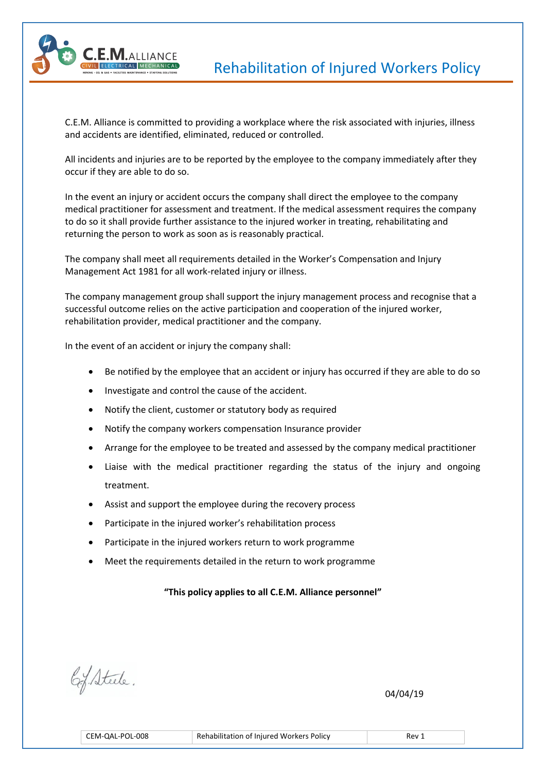

C.E.M. Alliance is committed to providing a workplace where the risk associated with injuries, illness and accidents are identified, eliminated, reduced or controlled.

All incidents and injuries are to be reported by the employee to the company immediately after they occur if they are able to do so.

In the event an injury or accident occurs the company shall direct the employee to the company medical practitioner for assessment and treatment. If the medical assessment requires the company to do so it shall provide further assistance to the injured worker in treating, rehabilitating and returning the person to work as soon as is reasonably practical.

The company shall meet all requirements detailed in the Worker's Compensation and Injury Management Act 1981 for all work-related injury or illness.

The company management group shall support the injury management process and recognise that a successful outcome relies on the active participation and cooperation of the injured worker, rehabilitation provider, medical practitioner and the company.

In the event of an accident or injury the company shall:

- Be notified by the employee that an accident or injury has occurred if they are able to do so
- Investigate and control the cause of the accident.
- Notify the client, customer or statutory body as required
- Notify the company workers compensation Insurance provider
- Arrange for the employee to be treated and assessed by the company medical practitioner
- Liaise with the medical practitioner regarding the status of the injury and ongoing treatment.
- Assist and support the employee during the recovery process
- Participate in the injured worker's rehabilitation process
- Participate in the injured workers return to work programme
- Meet the requirements detailed in the return to work programme

## **"This policy applies to all C.E.M. Alliance personnel"**

 $\sqrt{04/04/19}$